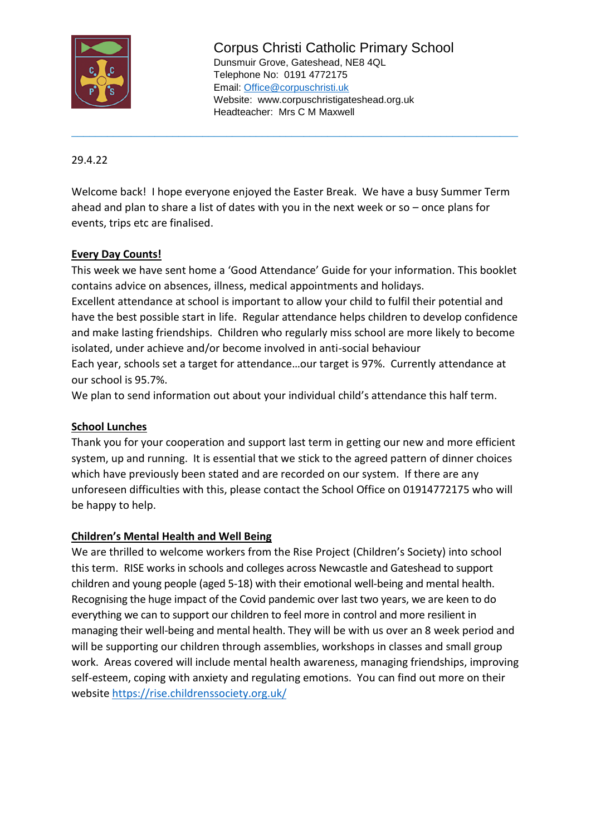

Corpus Christi Catholic Primary School Dunsmuir Grove, Gateshead, NE8 4QL Telephone No: 0191 4772175 Email: [Office@corpuschristi.uk](mailto:Office@corpuschristi.uk) Website: www.corpuschristigateshead.org.uk Headteacher: Mrs C M Maxwell

29.4.22

Welcome back! I hope everyone enjoyed the Easter Break. We have a busy Summer Term ahead and plan to share a list of dates with you in the next week or so – once plans for events, trips etc are finalised.

\_\_\_\_\_\_\_\_\_\_\_\_\_\_\_\_\_\_\_\_\_\_\_\_\_\_\_\_\_\_\_\_\_\_\_\_\_\_\_\_\_\_\_\_\_\_\_\_\_\_\_\_\_\_\_\_\_\_\_\_\_\_\_\_\_\_\_\_\_\_\_\_\_\_\_

# **Every Day Counts!**

This week we have sent home a 'Good Attendance' Guide for your information. This booklet contains advice on absences, illness, medical appointments and holidays.

Excellent attendance at school is important to allow your child to fulfil their potential and have the best possible start in life. Regular attendance helps children to develop confidence and make lasting friendships. Children who regularly miss school are more likely to become isolated, under achieve and/or become involved in anti-social behaviour Each year, schools set a target for attendance…our target is 97%. Currently attendance at our school is 95.7%.

We plan to send information out about your individual child's attendance this half term.

# **School Lunches**

Thank you for your cooperation and support last term in getting our new and more efficient system, up and running. It is essential that we stick to the agreed pattern of dinner choices which have previously been stated and are recorded on our system. If there are any unforeseen difficulties with this, please contact the School Office on 01914772175 who will be happy to help.

# **Children's Mental Health and Well Being**

We are thrilled to welcome workers from the Rise Project (Children's Society) into school this term. RISE works in schools and colleges across Newcastle and Gateshead to support children and young people (aged 5-18) with their emotional well-being and mental health. Recognising the huge impact of the Covid pandemic over last two years, we are keen to do everything we can to support our children to feel more in control and more resilient in managing their well-being and mental health. They will be with us over an 8 week period and will be supporting our children through assemblies, workshops in classes and small group work. Areas covered will include mental health awareness, managing friendships, improving self-esteem, coping with anxiety and regulating emotions. You can find out more on their website<https://rise.childrenssociety.org.uk/>